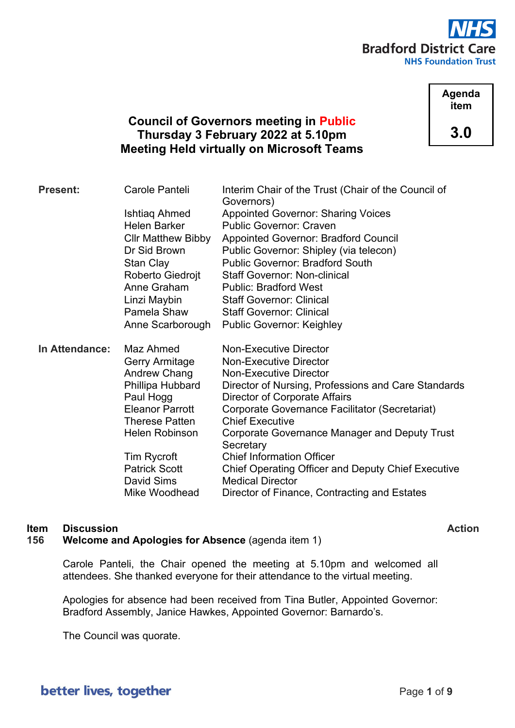

**Agenda item 3.0**

# **Council of Governors meeting in Public Thursday 3 February 2022 at 5.10pm Meeting Held virtually on Microsoft Teams**

| <b>Present:</b> | Carole Panteli              | Interim Chair of the Trust (Chair of the Council of<br>Governors)       |
|-----------------|-----------------------------|-------------------------------------------------------------------------|
|                 | Ishtiaq Ahmed               | <b>Appointed Governor: Sharing Voices</b>                               |
|                 | <b>Helen Barker</b>         | <b>Public Governor: Craven</b>                                          |
|                 | <b>CIIr Matthew Bibby</b>   | <b>Appointed Governor: Bradford Council</b>                             |
|                 | Dr Sid Brown                | Public Governor: Shipley (via telecon)                                  |
|                 | Stan Clay                   | <b>Public Governor: Bradford South</b>                                  |
|                 | Roberto Giedrojt            | <b>Staff Governor: Non-clinical</b>                                     |
|                 | Anne Graham                 | <b>Public: Bradford West</b>                                            |
|                 | Linzi Maybin                | <b>Staff Governor: Clinical</b>                                         |
|                 | Pamela Shaw                 | <b>Staff Governor: Clinical</b>                                         |
|                 | Anne Scarborough            | <b>Public Governor: Keighley</b>                                        |
|                 |                             |                                                                         |
| In Attendance:  |                             |                                                                         |
|                 | Maz Ahmed                   | <b>Non-Executive Director</b>                                           |
|                 | <b>Gerry Armitage</b>       | <b>Non-Executive Director</b>                                           |
|                 | Andrew Chang                | <b>Non-Executive Director</b>                                           |
|                 | Phillipa Hubbard            | Director of Nursing, Professions and Care Standards                     |
|                 | Paul Hogg                   | Director of Corporate Affairs                                           |
|                 | <b>Eleanor Parrott</b>      | Corporate Governance Facilitator (Secretariat)                          |
|                 | <b>Therese Patten</b>       | <b>Chief Executive</b>                                                  |
|                 | <b>Helen Robinson</b>       | Corporate Governance Manager and Deputy Trust                           |
|                 |                             | Secretary                                                               |
|                 | Tim Rycroft                 | <b>Chief Information Officer</b>                                        |
|                 | <b>Patrick Scott</b>        | <b>Chief Operating Officer and Deputy Chief Executive</b>               |
|                 | David Sims<br>Mike Woodhead | <b>Medical Director</b><br>Director of Finance, Contracting and Estates |

# **Item Discussion Action**

# **156 Welcome and Apologies for Absence** (agenda item 1)

Carole Panteli, the Chair opened the meeting at 5.10pm and welcomed all attendees. She thanked everyone for their attendance to the virtual meeting.

Apologies for absence had been received from Tina Butler, Appointed Governor: Bradford Assembly, Janice Hawkes, Appointed Governor: Barnardo's.

The Council was quorate.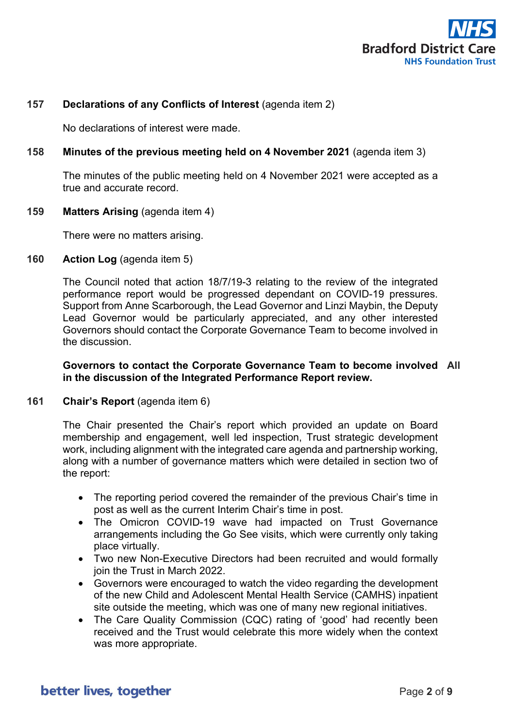

# **157 Declarations of any Conflicts of Interest** (agenda item 2)

No declarations of interest were made.

## **158 Minutes of the previous meeting held on 4 November 2021** (agenda item 3)

The minutes of the public meeting held on 4 November 2021 were accepted as a true and accurate record.

#### **159 Matters Arising** (agenda item 4)

There were no matters arising.

### **160 Action Log** (agenda item 5)

The Council noted that action 18/7/19-3 relating to the review of the integrated performance report would be progressed dependant on COVID-19 pressures. Support from Anne Scarborough, the Lead Governor and Linzi Maybin, the Deputy Lead Governor would be particularly appreciated, and any other interested Governors should contact the Corporate Governance Team to become involved in the discussion.

### **Governors to contact the Corporate Governance Team to become involved All in the discussion of the Integrated Performance Report review.**

#### **161 Chair's Report** (agenda item 6)

The Chair presented the Chair's report which provided an update on Board membership and engagement, well led inspection, Trust strategic development work, including alignment with the integrated care agenda and partnership working, along with a number of governance matters which were detailed in section two of the report:

- The reporting period covered the remainder of the previous Chair's time in post as well as the current Interim Chair's time in post.
- The Omicron COVID-19 wave had impacted on Trust Governance arrangements including the Go See visits, which were currently only taking place virtually.
- Two new Non-Executive Directors had been recruited and would formally join the Trust in March 2022.
- Governors were encouraged to watch the video regarding the development of the new Child and Adolescent Mental Health Service (CAMHS) inpatient site outside the meeting, which was one of many new regional initiatives.
- The Care Quality Commission (CQC) rating of 'good' had recently been received and the Trust would celebrate this more widely when the context was more appropriate.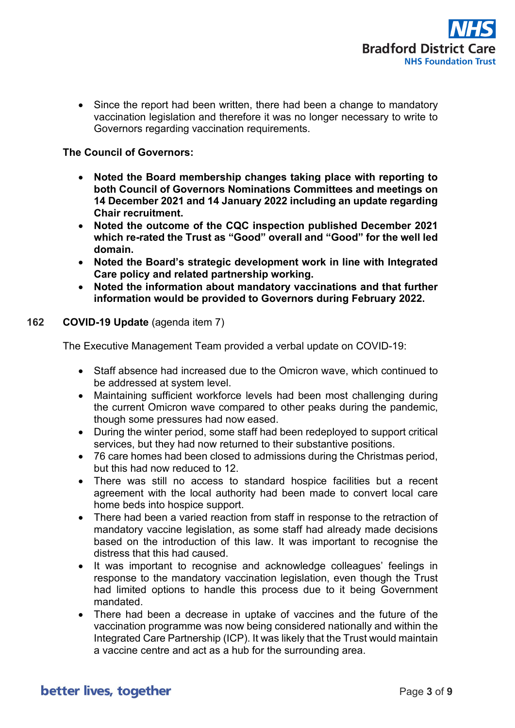

• Since the report had been written, there had been a change to mandatory vaccination legislation and therefore it was no longer necessary to write to Governors regarding vaccination requirements.

### **The Council of Governors:**

- **Noted the Board membership changes taking place with reporting to both Council of Governors Nominations Committees and meetings on 14 December 2021 and 14 January 2022 including an update regarding Chair recruitment.**
- **Noted the outcome of the CQC inspection published December 2021 which re-rated the Trust as "Good" overall and "Good" for the well led domain.**
- **Noted the Board's strategic development work in line with Integrated Care policy and related partnership working.**
- **Noted the information about mandatory vaccinations and that further information would be provided to Governors during February 2022.**

## **162 COVID-19 Update** (agenda item 7)

The Executive Management Team provided a verbal update on COVID-19:

- Staff absence had increased due to the Omicron wave, which continued to be addressed at system level.
- Maintaining sufficient workforce levels had been most challenging during the current Omicron wave compared to other peaks during the pandemic, though some pressures had now eased.
- During the winter period, some staff had been redeployed to support critical services, but they had now returned to their substantive positions.
- 76 care homes had been closed to admissions during the Christmas period, but this had now reduced to 12.
- There was still no access to standard hospice facilities but a recent agreement with the local authority had been made to convert local care home beds into hospice support.
- There had been a varied reaction from staff in response to the retraction of mandatory vaccine legislation, as some staff had already made decisions based on the introduction of this law. It was important to recognise the distress that this had caused.
- It was important to recognise and acknowledge colleagues' feelings in response to the mandatory vaccination legislation, even though the Trust had limited options to handle this process due to it being Government mandated.
- There had been a decrease in uptake of vaccines and the future of the vaccination programme was now being considered nationally and within the Integrated Care Partnership (ICP). It was likely that the Trust would maintain a vaccine centre and act as a hub for the surrounding area.

# better lives, together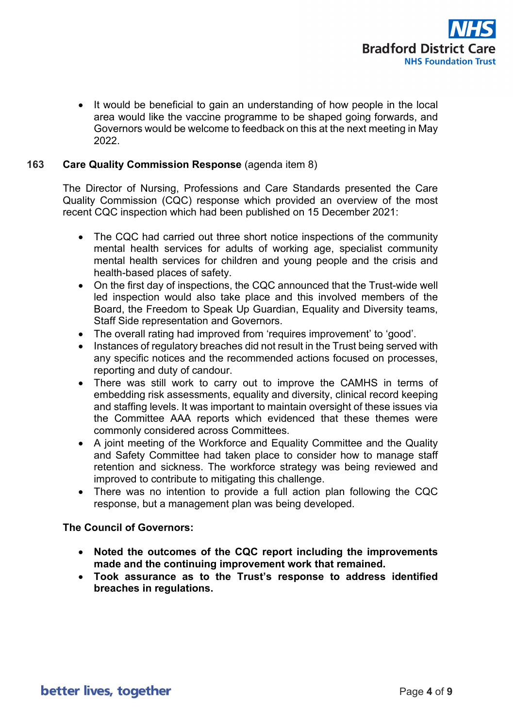

• It would be beneficial to gain an understanding of how people in the local area would like the vaccine programme to be shaped going forwards, and Governors would be welcome to feedback on this at the next meeting in May 2022.

### **163 Care Quality Commission Response** (agenda item 8)

The Director of Nursing, Professions and Care Standards presented the Care Quality Commission (CQC) response which provided an overview of the most recent CQC inspection which had been published on 15 December 2021:

- The CQC had carried out three short notice inspections of the community mental health services for adults of working age, specialist community mental health services for children and young people and the crisis and health-based places of safety.
- On the first day of inspections, the CQC announced that the Trust-wide well led inspection would also take place and this involved members of the Board, the Freedom to Speak Up Guardian, Equality and Diversity teams, Staff Side representation and Governors.
- The overall rating had improved from 'requires improvement' to 'good'.
- Instances of regulatory breaches did not result in the Trust being served with any specific notices and the recommended actions focused on processes, reporting and duty of candour.
- There was still work to carry out to improve the CAMHS in terms of embedding risk assessments, equality and diversity, clinical record keeping and staffing levels. It was important to maintain oversight of these issues via the Committee AAA reports which evidenced that these themes were commonly considered across Committees.
- A joint meeting of the Workforce and Equality Committee and the Quality and Safety Committee had taken place to consider how to manage staff retention and sickness. The workforce strategy was being reviewed and improved to contribute to mitigating this challenge.
- There was no intention to provide a full action plan following the CQC response, but a management plan was being developed.

#### **The Council of Governors:**

- **Noted the outcomes of the CQC report including the improvements made and the continuing improvement work that remained.**
- **Took assurance as to the Trust's response to address identified breaches in regulations.**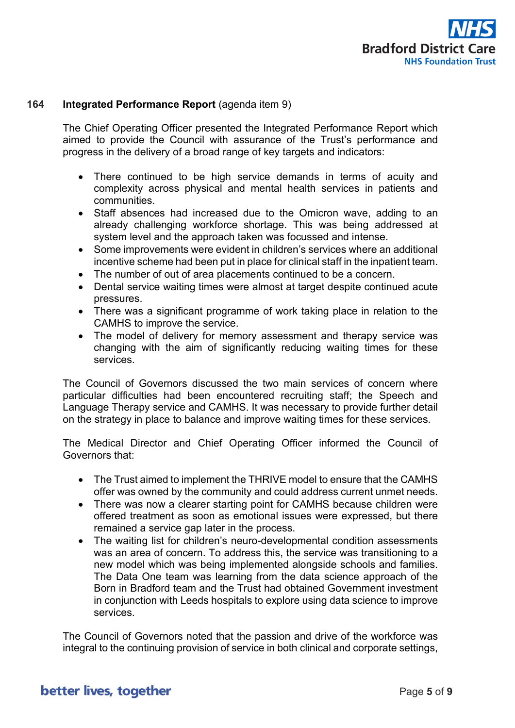

## **164 Integrated Performance Report** (agenda item 9)

The Chief Operating Officer presented the Integrated Performance Report which aimed to provide the Council with assurance of the Trust's performance and progress in the delivery of a broad range of key targets and indicators:

- There continued to be high service demands in terms of acuity and complexity across physical and mental health services in patients and communities.
- Staff absences had increased due to the Omicron wave, adding to an already challenging workforce shortage. This was being addressed at system level and the approach taken was focussed and intense.
- Some improvements were evident in children's services where an additional incentive scheme had been put in place for clinical staff in the inpatient team.
- The number of out of area placements continued to be a concern.
- Dental service waiting times were almost at target despite continued acute pressures.
- There was a significant programme of work taking place in relation to the CAMHS to improve the service.
- The model of delivery for memory assessment and therapy service was changing with the aim of significantly reducing waiting times for these services.

The Council of Governors discussed the two main services of concern where particular difficulties had been encountered recruiting staff; the Speech and Language Therapy service and CAMHS. It was necessary to provide further detail on the strategy in place to balance and improve waiting times for these services.

The Medical Director and Chief Operating Officer informed the Council of Governors that:

- The Trust aimed to implement the THRIVE model to ensure that the CAMHS offer was owned by the community and could address current unmet needs.
- There was now a clearer starting point for CAMHS because children were offered treatment as soon as emotional issues were expressed, but there remained a service gap later in the process.
- The waiting list for children's neuro-developmental condition assessments was an area of concern. To address this, the service was transitioning to a new model which was being implemented alongside schools and families. The Data One team was learning from the data science approach of the Born in Bradford team and the Trust had obtained Government investment in conjunction with Leeds hospitals to explore using data science to improve services.

The Council of Governors noted that the passion and drive of the workforce was integral to the continuing provision of service in both clinical and corporate settings,

# better lives, together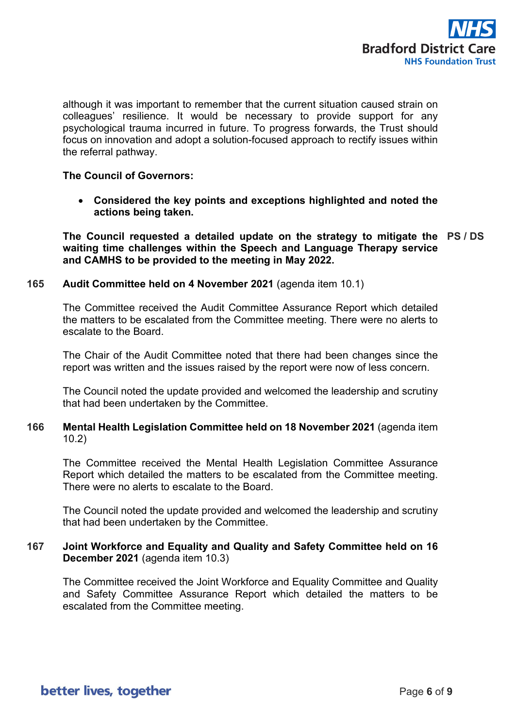

although it was important to remember that the current situation caused strain on colleagues' resilience. It would be necessary to provide support for any psychological trauma incurred in future. To progress forwards, the Trust should focus on innovation and adopt a solution-focused approach to rectify issues within the referral pathway.

## **The Council of Governors:**

• **Considered the key points and exceptions highlighted and noted the actions being taken.**

**The Council requested a detailed update on the strategy to mitigate the PS / DS waiting time challenges within the Speech and Language Therapy service and CAMHS to be provided to the meeting in May 2022.** 

### **165 Audit Committee held on 4 November 2021** (agenda item 10.1)

The Committee received the Audit Committee Assurance Report which detailed the matters to be escalated from the Committee meeting. There were no alerts to escalate to the Board.

The Chair of the Audit Committee noted that there had been changes since the report was written and the issues raised by the report were now of less concern.

The Council noted the update provided and welcomed the leadership and scrutiny that had been undertaken by the Committee.

# **166 Mental Health Legislation Committee held on 18 November 2021** (agenda item 10.2)

The Committee received the Mental Health Legislation Committee Assurance Report which detailed the matters to be escalated from the Committee meeting. There were no alerts to escalate to the Board.

The Council noted the update provided and welcomed the leadership and scrutiny that had been undertaken by the Committee.

# **167 Joint Workforce and Equality and Quality and Safety Committee held on 16 December 2021** (agenda item 10.3)

The Committee received the Joint Workforce and Equality Committee and Quality and Safety Committee Assurance Report which detailed the matters to be escalated from the Committee meeting.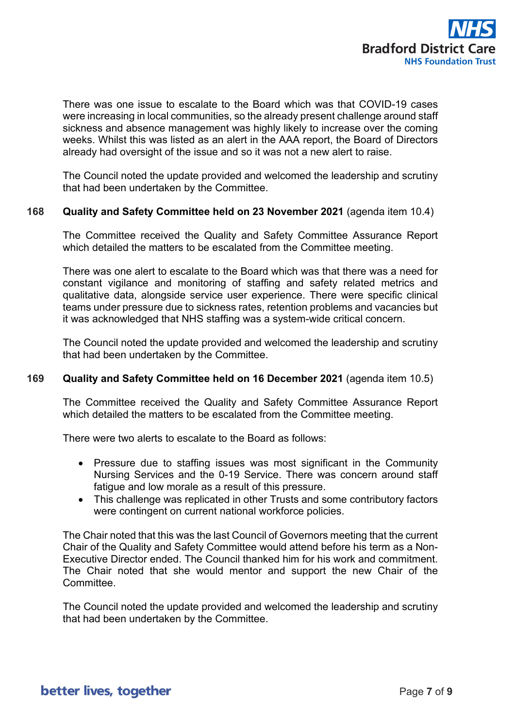

There was one issue to escalate to the Board which was that COVID-19 cases were increasing in local communities, so the already present challenge around staff sickness and absence management was highly likely to increase over the coming weeks. Whilst this was listed as an alert in the AAA report, the Board of Directors already had oversight of the issue and so it was not a new alert to raise.

The Council noted the update provided and welcomed the leadership and scrutiny that had been undertaken by the Committee.

#### **168 Quality and Safety Committee held on 23 November 2021** (agenda item 10.4)

The Committee received the Quality and Safety Committee Assurance Report which detailed the matters to be escalated from the Committee meeting.

There was one alert to escalate to the Board which was that there was a need for constant vigilance and monitoring of staffing and safety related metrics and qualitative data, alongside service user experience. There were specific clinical teams under pressure due to sickness rates, retention problems and vacancies but it was acknowledged that NHS staffing was a system-wide critical concern.

The Council noted the update provided and welcomed the leadership and scrutiny that had been undertaken by the Committee.

#### **169 Quality and Safety Committee held on 16 December 2021** (agenda item 10.5)

The Committee received the Quality and Safety Committee Assurance Report which detailed the matters to be escalated from the Committee meeting.

There were two alerts to escalate to the Board as follows:

- Pressure due to staffing issues was most significant in the Community Nursing Services and the 0-19 Service. There was concern around staff fatigue and low morale as a result of this pressure.
- This challenge was replicated in other Trusts and some contributory factors were contingent on current national workforce policies.

The Chair noted that this was the last Council of Governors meeting that the current Chair of the Quality and Safety Committee would attend before his term as a Non-Executive Director ended. The Council thanked him for his work and commitment. The Chair noted that she would mentor and support the new Chair of the Committee.

The Council noted the update provided and welcomed the leadership and scrutiny that had been undertaken by the Committee.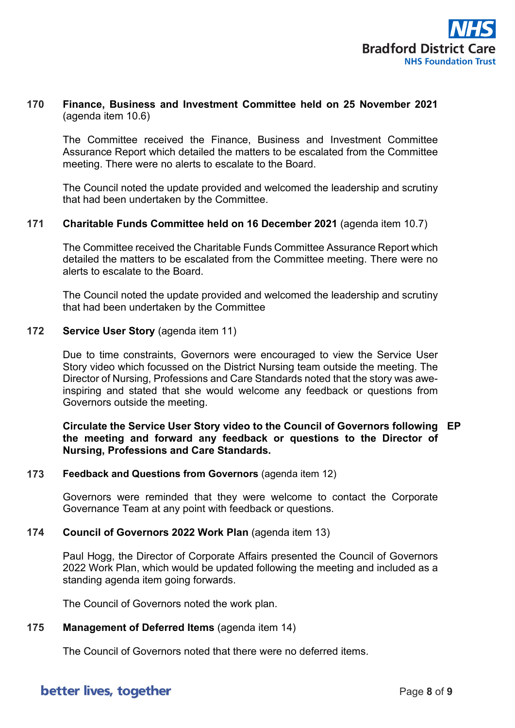

# **170 Finance, Business and Investment Committee held on 25 November 2021** (agenda item 10.6)

The Committee received the Finance, Business and Investment Committee Assurance Report which detailed the matters to be escalated from the Committee meeting. There were no alerts to escalate to the Board.

The Council noted the update provided and welcomed the leadership and scrutiny that had been undertaken by the Committee.

#### **171 Charitable Funds Committee held on 16 December 2021** (agenda item 10.7)

The Committee received the Charitable Funds Committee Assurance Report which detailed the matters to be escalated from the Committee meeting. There were no alerts to escalate to the Board.

The Council noted the update provided and welcomed the leadership and scrutiny that had been undertaken by the Committee

#### **172 Service User Story** (agenda item 11)

Due to time constraints, Governors were encouraged to view the Service User Story video which focussed on the District Nursing team outside the meeting. The Director of Nursing, Professions and Care Standards noted that the story was aweinspiring and stated that she would welcome any feedback or questions from Governors outside the meeting.

## **Circulate the Service User Story video to the Council of Governors following EP the meeting and forward any feedback or questions to the Director of Nursing, Professions and Care Standards.**

#### **173 Feedback and Questions from Governors** (agenda item 12)

Governors were reminded that they were welcome to contact the Corporate Governance Team at any point with feedback or questions.

#### **174 Council of Governors 2022 Work Plan** (agenda item 13)

Paul Hogg, the Director of Corporate Affairs presented the Council of Governors 2022 Work Plan, which would be updated following the meeting and included as a standing agenda item going forwards.

The Council of Governors noted the work plan.

#### **175 Management of Deferred Items** (agenda item 14)

The Council of Governors noted that there were no deferred items.

# better lives, together